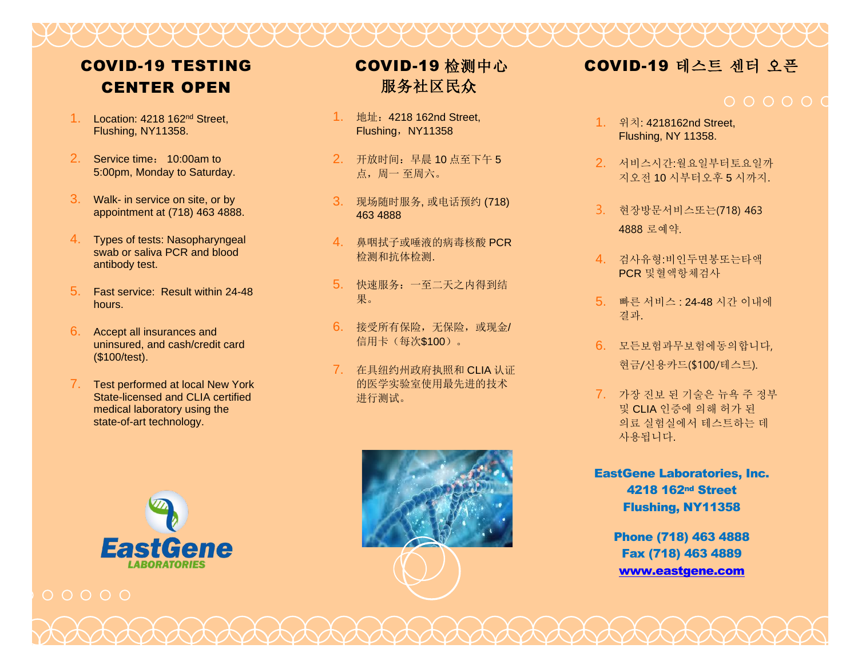## COVID-19 TESTING CENTER OPEN

- 1. Location: 4218 162<sup>nd</sup> Street. Flushing, NY11358.
- 2. Service time: 10:00am to 5:00pm, Monday to Saturday.
- 3. Walk- in service on site, or by appointment at (718) 463 4888.
- 4. Types of tests: Nasopharyngeal swab or saliva PCR and blood antibody test.
- 5. Fast service: Result within 24-48 hours.
- 6. Accept all insurances and uninsured, and cash/credit card (\$100/test).
- 7. Test performed at local New York State-licensed and CLIA certified medical laboratory using the state-of-art technology.





# COVID-19 检测中心 服务社区民众

- 1. 地址:4218 162nd Street, Flushing, NY11358
- 2. 开放时间:早晨 10 点至下午 5 点,周一 至周六。
- 3. 现场随时服务, 或电话预约 (718) 463 4888
- 4. 鼻咽拭子或唾液的病毒核酸 PCR 检测和抗体检测.
- 5. 快速服务:一至二天之内得到结 果。
- 6. 接受所有保险,无保险,或现金/ 信用卡(每次\$100)。
- 7. 在具纽约州政府执照和 CLIA 认证 的医学实验室使用最先进的技术 进行测试。



- 1. 위치: 4218162nd Street, Flushing, NY 11358.
- 2. 서비스시간:월요일부터토요일까 지오전 10 시부터오후 5 시까지.
- 3. 현장방문서비스또는(718) 463 4888 로예약.
- 4. 검사유형:비인두면봉또는타액 PCR 및혈액항체검사
- 5. 빠른 서비스 : 24-48 시간 이내에 결과.
- 6. 모든보험과무보험에동의합니다, 현금/신용카드(\$100/테스트).
- 7. 가장 진보 된 기술은 뉴욕 주 정부 및 CLIA 인증에 의해 허가 된 의료 실험실에서 테스트하는 데 사용됩니다.
- EastGene Laboratories, Inc. 4218 162nd Street Flushing, NY11358

Phone (718) 463 4888 Fax (718) 463 4889 [www.eastgene.com](http://www.eastgene.com/)